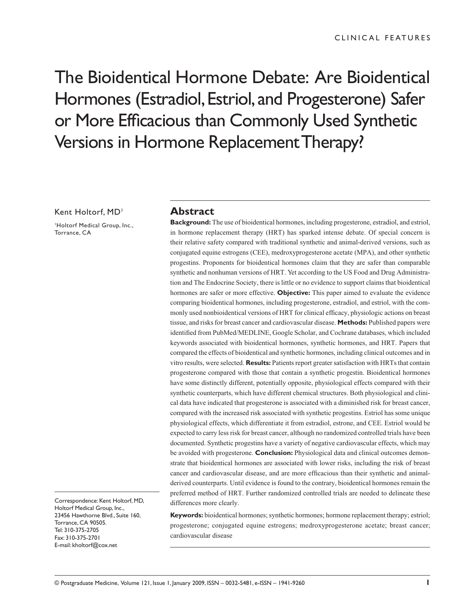# The Bioidentical Hormone Debate: Are Bioidentical Hormones (Estradiol, Estriol, and Progesterone) Safer or More Efficacious than Commonly Used Synthetic Versions in Hormone Replacement Therapy?

Kent Holtorf, MD<sup>1</sup>

1 Holtorf Medical Group, Inc., Torrance, CA

### **Abstract**

**Background:** The use of bioidentical hormones, including progesterone, estradiol, and estriol, in hormone replacement therapy (HRT) has sparked intense debate. Of special concern is their relative safety compared with traditional synthetic and animal-derived versions, such as conjugated equine estrogens (CEE), medroxyprogesterone acetate (MPA), and other synthetic progestins. Proponents for bioidentical hormones claim that they are safer than comparable synthetic and nonhuman versions of HRT. Yet according to the US Food and Drug Administration and The Endocrine Society, there is little or no evidence to support claims that bioidentical hormones are safer or more effective. **Objective:** This paper aimed to evaluate the evidence comparing bioidentical hormones, including progesterone, estradiol, and estriol, with the commonly used nonbioidentical versions of HRT for clinical efficacy, physiologic actions on breast tissue, and risks for breast cancer and cardiovascular disease. **Methods:** Published papers were identified from PubMed/MEDLINE, Google Scholar, and Cochrane databases, which included keywords associated with bioidentical hormones, synthetic hormones, and HRT. Papers that compared the effects of bioidentical and synthetic hormones, including clinical outcomes and in vitro results, were selected. **Results:** Patients report greater satisfaction with HRTs that contain progesterone compared with those that contain a synthetic progestin. Bioidentical hormones have some distinctly different, potentially opposite, physiological effects compared with their synthetic counterparts, which have different chemical structures. Both physiological and clinical data have indicated that progesterone is associated with a diminished risk for breast cancer, compared with the increased risk associated with synthetic progestins. Estriol has some unique physiological effects, which differentiate it from estradiol, estrone, and CEE. Estriol would be expected to carry less risk for breast cancer, although no randomized controlled trials have been documented. Synthetic progestins have a variety of negative cardiovascular effects, which may be avoided with progesterone. **Conclusion:** Physiological data and clinical outcomes demonstrate that bioidentical hormones are associated with lower risks, including the risk of breast cancer and cardiovascular disease, and are more efficacious than their synthetic and animalderived counterparts. Until evidence is found to the contrary, bioidentical hormones remain the preferred method of HRT. Further randomized controlled trials are needed to delineate these differences more clearly.

Correspondence: Kent Holtorf, MD, Holtorf Medical Group, Inc., 23456 Hawthorne Blvd., Suite 160, Torrance, CA 90505. Tel: 310-375-2705 Fax: 310-375-2701 E-mail: kholtorf@cox.net

**Keywords:** bioidentical hormones; synthetic hormones; hormone replacement therapy; estriol; progesterone; conjugated equine estrogens; medroxyprogesterone acetate; breast cancer; cardiovascular disease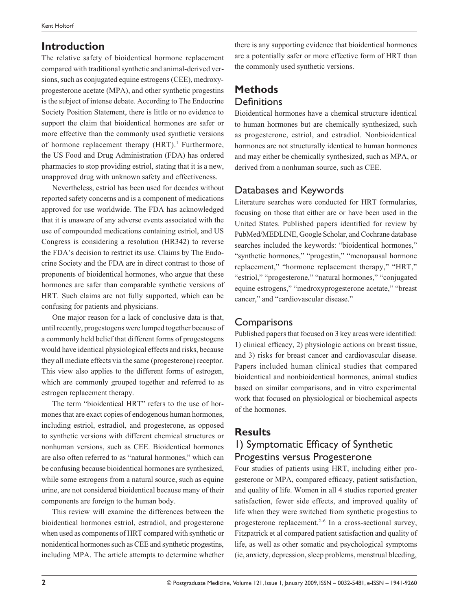# **Introduction**

The relative safety of bioidentical hormone replacement compared with traditional synthetic and animal-derived versions, such as conjugated equine estrogens (CEE), medroxyprogesterone acetate (MPA), and other synthetic progestins is the subject of intense debate. According to The Endocrine Society Position Statement, there is little or no evidence to support the claim that bioidentical hormones are safer or more effective than the commonly used synthetic versions of hormone replacement therapy (HRT).<sup>1</sup> Furthermore, the US Food and Drug Administration (FDA) has ordered pharmacies to stop providing estriol, stating that it is a new, unapproved drug with unknown safety and effectiveness.

Nevertheless, estriol has been used for decades without reported safety concerns and is a component of medications approved for use worldwide. The FDA has acknowledged that it is unaware of any adverse events associated with the use of compounded medications containing estriol, and US Congress is considering a resolution (HR342) to reverse the FDA's decision to restrict its use. Claims by The Endocrine Society and the FDA are in direct contrast to those of proponents of bioidentical hormones, who argue that these hormones are safer than comparable synthetic versions of HRT. Such claims are not fully supported, which can be confusing for patients and physicians.

One major reason for a lack of conclusive data is that, until recently, progestogens were lumped together because of a commonly held belief that different forms of progestogens would have identical physiological effects and risks, because they all mediate effects via the same (progesterone) receptor. This view also applies to the different forms of estrogen, which are commonly grouped together and referred to as estrogen replacement therapy.

The term "bioidentical HRT" refers to the use of hormones that are exact copies of endogenous human hormones, including estriol, estradiol, and progesterone, as opposed to synthetic versions with different chemical structures or nonhuman versions, such as CEE. Bioidentical hormones are also often referred to as "natural hormones," which can be confusing because bioidentical hormones are synthesized, while some estrogens from a natural source, such as equine urine, are not considered bioidentical because many of their components are foreign to the human body.

This review will examine the differences between the bioidentical hormones estriol, estradiol, and progesterone when used as components of HRT compared with synthetic or nonidentical hormones such as CEE and synthetic progestins, including MPA. The article attempts to determine whether there is any supporting evidence that bioidentical hormones are a potentially safer or more effective form of HRT than the commonly used synthetic versions.

# **Methods**

# **Definitions**

Bioidentical hormones have a chemical structure identical to human hormones but are chemically synthesized, such as progesterone, estriol, and estradiol. Nonbioidentical hormones are not structurally identical to human hormones and may either be chemically synthesized, such as MPA, or derived from a nonhuman source, such as CEE.

# Databases and Keywords

Literature searches were conducted for HRT formularies, focusing on those that either are or have been used in the United States. Published papers identified for review by PubMed/MEDLINE, Google Scholar, and Cochrane database searches included the keywords: "bioidentical hormones," "synthetic hormones," "progestin," "menopausal hormone replacement," "hormone replacement therapy," "HRT," "estriol," "progesterone," "natural hormones," "conjugated equine estrogens," "medroxyprogesterone acetate," "breast cancer," and "cardiovascular disease."

# **Comparisons**

Published papers that focused on 3 key areas were identified: 1) clinical efficacy, 2) physiologic actions on breast tissue, and 3) risks for breast cancer and cardiovascular disease. Papers included human clinical studies that compared bioidentical and nonbioidentical hormones, animal studies based on similar comparisons, and in vitro experimental work that focused on physiological or biochemical aspects of the hormones.

# **Results**

# 1) Symptomatic Efficacy of Synthetic Progestins versus Progesterone

Four studies of patients using HRT, including either progesterone or MPA, compared efficacy, patient satisfaction, and quality of life. Women in all 4 studies reported greater satisfaction, fewer side effects, and improved quality of life when they were switched from synthetic progestins to progesterone replacement.<sup>2-6</sup> In a cross-sectional survey, Fitzpatrick et al compared patient satisfaction and quality of life, as well as other somatic and psychological symptoms (ie, anxiety, depression, sleep problems, menstrual bleeding,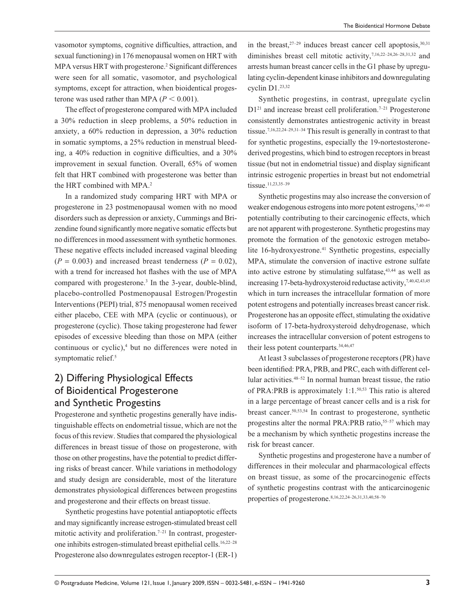vasomotor symptoms, cognitive difficulties, attraction, and sexual functioning) in 176 menopausal women on HRT with MPA versus HRT with progesterone.<sup>2</sup> Significant differences were seen for all somatic, vasomotor, and psychological symptoms, except for attraction, when bioidentical progesterone was used rather than MPA ( $P < 0.001$ ).

The effect of progesterone compared with MPA included a 30% reduction in sleep problems, a 50% reduction in anxiety, a 60% reduction in depression, a 30% reduction in somatic symptoms, a 25% reduction in menstrual bleeding, a 40% reduction in cognitive difficulties, and a 30% improvement in sexual function. Overall, 65% of women felt that HRT combined with progesterone was better than the HRT combined with MPA.<sup>2</sup>

In a randomized study comparing HRT with MPA or progesterone in 23 postmenopausal women with no mood disorders such as depression or anxiety, Cummings and Brizendine found significantly more negative somatic effects but no differences in mood assessment with synthetic hormones. These negative effects included increased vaginal bleeding  $(P = 0.003)$  and increased breast tenderness  $(P = 0.02)$ , with a trend for increased hot flashes with the use of MPA compared with progesterone.<sup>3</sup> In the 3-year, double-blind, placebo-controlled Postmenopausal Estrogen/Progestin Interventions (PEPI) trial, 875 menopausal women received either placebo, CEE with MPA (cyclic or continuous), or progesterone (cyclic). Those taking progesterone had fewer episodes of excessive bleeding than those on MPA (either continuous or cyclic),<sup>4</sup> but no differences were noted in symptomatic relief.<sup>5</sup>

# 2) Differing Physiological Effects of Bioidentical Progesterone and Synthetic Progestins

Progesterone and synthetic progestins generally have indistinguishable effects on endometrial tissue, which are not the focus of this review. Studies that compared the physiological differences in breast tissue of those on progesterone, with those on other progestins, have the potential to predict differing risks of breast cancer. While variations in methodology and study design are considerable, most of the literature demonstrates physiological differences between progestins and progesterone and their effects on breast tissue.

Synthetic progestins have potential antiapoptotic effects and may significantly increase estrogen-stimulated breast cell mitotic activity and proliferation.<sup> $7-21$ </sup> In contrast, progesterone inhibits estrogen-stimulated breast epithelial cells.16,22–28 Progesterone also downregulates estrogen receptor-1 (ER-1)

in the breast, $27-29$  induces breast cancer cell apoptosis, $30,31$ diminishes breast cell mitotic activity,<sup>7,16,22-24,26-28,31,32</sup> and arrests human breast cancer cells in the G1 phase by upregulating cyclin-dependent kinase inhibitors and downregulating cyclin D1.23,32

Synthetic progestins, in contrast, upregulate cyclin  $D1<sup>21</sup>$  and increase breast cell proliferation.<sup>7–21</sup> Progesterone consistently demonstrates antiestrogenic activity in breast tissue.7,16,22,24–29,31–34 This result is generally in contrast to that for synthetic progestins, especially the 19-nortestosteronederived progestins, which bind to estrogen receptors in breast tissue (but not in endometrial tissue) and display significant intrinsic estrogenic properties in breast but not endometrial tissue.<sup>11,23,35-39</sup>

Synthetic progestins may also increase the conversion of weaker endogenous estrogens into more potent estrogens,<sup>7,40-45</sup> potentially contributing to their carcinogenic effects, which are not apparent with progesterone. Synthetic progestins may promote the formation of the genotoxic estrogen metabolite 16-hydroxyestrone.<sup>41</sup> Synthetic progestins, especially MPA, stimulate the conversion of inactive estrone sulfate into active estrone by stimulating sulfatase, $43,44$  as well as increasing 17-beta-hydroxysteroid reductase activity,<sup>7,40,42,43,45</sup> which in turn increases the intracellular formation of more potent estrogens and potentially increases breast cancer risk. Progesterone has an opposite effect, stimulating the oxidative isoform of 17-beta-hydroxysteroid dehydrogenase, which increases the intracellular conversion of potent estrogens to their less potent counterparts.34,46,47

At least 3 subclasses of progesterone receptors (PR) have been identified: PRA, PRB, and PRC, each with different cellular activities.48–52 In normal human breast tissue, the ratio of PRA:PRB is approximately 1:1.50,53 This ratio is altered in a large percentage of breast cancer cells and is a risk for breast cancer.50,53,54 In contrast to progesterone, synthetic progestins alter the normal PRA:PRB ratio,<sup>55-57</sup> which may be a mechanism by which synthetic progestins increase the risk for breast cancer.

Synthetic progestins and progesterone have a number of differences in their molecular and pharmacological effects on breast tissue, as some of the procarcinogenic effects of synthetic progestins contrast with the anticarcinogenic properties of progesterone.8,16,22,24–26,31,33,40,58–70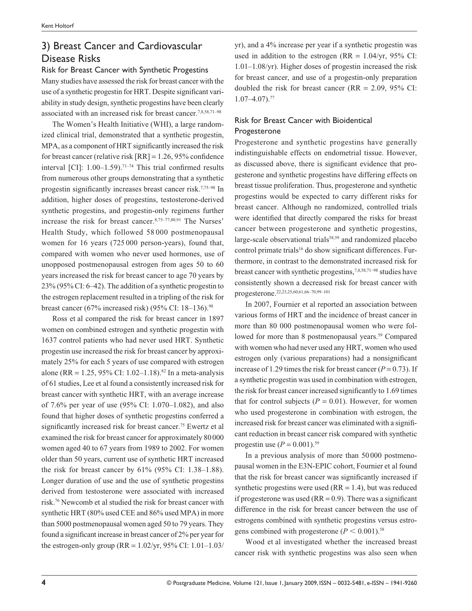# 3) Breast Cancer and Cardiovascular Disease Risks

Risk for Breast Cancer with Synthetic Progestins Many studies have assessed the risk for breast cancer with the use of a synthetic progestin for HRT. Despite significant variability in study design, synthetic progestins have been clearly associated with an increased risk for breast cancer.7,8,58,71–98

The Women's Health Initiative (WHI), a large randomized clinical trial, demonstrated that a synthetic progestin, MPA, as a component of HRT significantly increased the risk for breast cancer (relative risk [RR] = 1.26, 95% confidence interval  $\lbrack$  CI]: 1.00–1.59).<sup>71–74</sup> This trial confirmed results from numerous other groups demonstrating that a synthetic progestin significantly increases breast cancer risk.7,75–98 In addition, higher doses of progestins, testosterone-derived synthetic progestins, and progestin-only regimens further increase the risk for breast cancer.8,75–77,80,91 The Nurses' Health Study, which followed 58 000 postmenopausal women for 16 years (725 000 person-years), found that, compared with women who never used hormones, use of unopposed postmenopausal estrogen from ages 50 to 60 years increased the risk for breast cancer to age 70 years by 23% (95% CI: 6–42). The addition of a synthetic progestin to the estrogen replacement resulted in a tripling of the risk for breast cancer (67% increased risk) (95% CI: 18–136).<sup>98</sup>

Ross et al compared the risk for breast cancer in 1897 women on combined estrogen and synthetic progestin with 1637 control patients who had never used HRT. Synthetic progestin use increased the risk for breast cancer by approximately 25% for each 5 years of use compared with estrogen alone (RR = 1.25, 95% CI: 1.02–1.18).<sup>82</sup> In a meta-analysis of 61 studies, Lee et al found a consistently increased risk for breast cancer with synthetic HRT, with an average increase of 7.6% per year of use (95% CI: 1.070–1.082), and also found that higher doses of synthetic progestins conferred a significantly increased risk for breast cancer.<sup>75</sup> Ewertz et al examined the risk for breast cancer for approximately 80000 women aged 40 to 67 years from 1989 to 2002. For women older than 50 years, current use of synthetic HRT increased the risk for breast cancer by 61% (95% CI: 1.38–1.88). Longer duration of use and the use of synthetic progestins derived from testosterone were associated with increased risk.76 Newcomb et al studied the risk for breast cancer with synthetic HRT (80% used CEE and 86% used MPA) in more than 5000 postmenopausal women aged 50 to 79 years. They found a significant increase in breast cancer of 2% per year for the estrogen-only group (RR =  $1.02/\text{yr}$ , 95% CI:  $1.01-1.03/$  yr), and a 4% increase per year if a synthetic progestin was used in addition to the estrogen ( $RR = 1.04/yr$ , 95% CI: 1.01–1.08/yr). Higher doses of progestin increased the risk for breast cancer, and use of a progestin-only preparation doubled the risk for breast cancer ( $RR = 2.09$ ,  $95\%$  CI: 1.07–4.07).77

### Risk for Breast Cancer with Bioidentical Progesterone

Progesterone and synthetic progestins have generally indistinguishable effects on endometrial tissue. However, as discussed above, there is significant evidence that progesterone and synthetic progestins have differing effects on breast tissue proliferation. Thus, progesterone and synthetic progestins would be expected to carry different risks for breast cancer. Although no randomized, controlled trials were identified that directly compared the risks for breast cancer between progesterone and synthetic progestins, large-scale observational trials<sup>58,59</sup> and randomized placebo control primate trials<sup>16</sup> do show significant differences. Furthermore, in contrast to the demonstrated increased risk for breast cancer with synthetic progestins,<sup>7,8,58,71-98</sup> studies have consistently shown a decreased risk for breast cancer with progesterone.22,23,25,60,61,66–70,99–101

In 2007, Fournier et al reported an association between various forms of HRT and the incidence of breast cancer in more than 80 000 postmenopausal women who were followed for more than 8 postmenopausal years.<sup>59</sup> Compared with women who had never used any HRT, women who used estrogen only (various preparations) had a nonsignificant increase of 1.29 times the risk for breast cancer  $(P = 0.73)$ . If a synthetic progestin was used in combination with estrogen, the risk for breast cancer increased significantly to 1.69 times that for control subjects ( $P = 0.01$ ). However, for women who used progesterone in combination with estrogen, the increased risk for breast cancer was eliminated with a significant reduction in breast cancer risk compared with synthetic progestin use  $(P = 0.001)^{59}$ 

In a previous analysis of more than 50 000 postmenopausal women in the E3N-EPIC cohort, Fournier et al found that the risk for breast cancer was significantly increased if synthetic progestins were used  $(RR = 1.4)$ , but was reduced if progesterone was used  $(RR = 0.9)$ . There was a significant difference in the risk for breast cancer between the use of estrogens combined with synthetic progestins versus estrogens combined with progesterone  $(P < 0.001)$ .<sup>58</sup>

Wood et al investigated whether the increased breast cancer risk with synthetic progestins was also seen when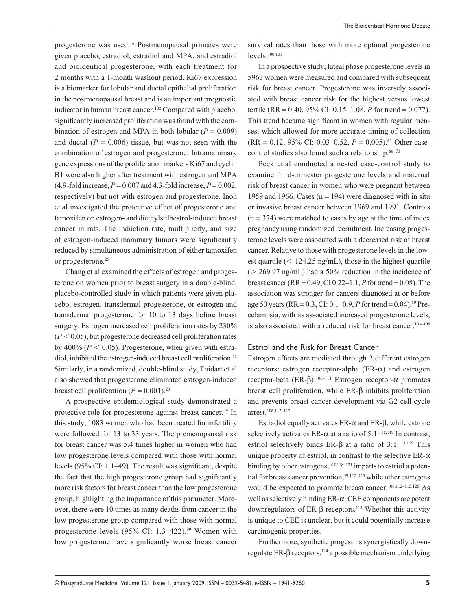progesterone was used.16 Postmenopausal primates were given placebo, estradiol, estradiol and MPA, and estradiol and bioidentical progesterone, with each treatment for 2 months with a 1-month washout period. Ki67 expression is a biomarker for lobular and ductal epithelial proliferation in the postmenopausal breast and is an important prognostic indicator in human breast cancer.<sup>102</sup> Compared with placebo, significantly increased proliferation was found with the combination of estrogen and MPA in both lobular  $(P = 0.009)$ and ductal  $(P = 0.006)$  tissue, but was not seen with the combination of estrogen and progesterone. Intramammary gene expressions of the proliferation markers Ki67 and cyclin B1 were also higher after treatment with estrogen and MPA  $(4.9\text{-}fold increase, P=0.007 and 4.3\text{-}fold increase, P=0.002,$ respectively) but not with estrogen and progesterone. Inoh et al investigated the protective effect of progesterone and tamoxifen on estrogen- and diethylstilbestrol-induced breast cancer in rats. The induction rate, multiplicity, and size of estrogen-induced mammary tumors were significantly reduced by simultaneous administration of either tamoxifen or progesterone.<sup>25</sup>

Chang et al examined the effects of estrogen and progesterone on women prior to breast surgery in a double-blind, placebo-controlled study in which patients were given placebo, estrogen, transdermal progesterone, or estrogen and transdermal progesterone for 10 to 13 days before breast surgery. Estrogen increased cell proliferation rates by 230%  $(P < 0.05)$ , but progesterone decreased cell proliferation rates by 400% ( $P < 0.05$ ). Progesterone, when given with estradiol, inhibited the estrogen-induced breast cell proliferation.22 Similarly, in a randomized, double-blind study, Foidart et al also showed that progesterone eliminated estrogen-induced breast cell proliferation  $(P = 0.001)$ .<sup>23</sup>

A prospective epidemiological study demonstrated a protective role for progesterone against breast cancer.<sup>99</sup> In this study, 1083 women who had been treated for infertility were followed for 13 to 33 years. The premenopausal risk for breast cancer was 5.4 times higher in women who had low progesterone levels compared with those with normal levels (95% CI: 1.1–49). The result was significant, despite the fact that the high progesterone group had significantly more risk factors for breast cancer than the low progesterone group, highlighting the importance of this parameter. Moreover, there were 10 times as many deaths from cancer in the low progesterone group compared with those with normal progesterone levels  $(95\% \text{ CI: } 1.3-422).$ <sup>99</sup> Women with low progesterone have significantly worse breast cancer

survival rates than those with more optimal progesterone levels.100,101

In a prospective study, luteal phase progesterone levels in 5963 women were measured and compared with subsequent risk for breast cancer. Progesterone was inversely associated with breast cancer risk for the highest versus lowest tertile (RR =  $0.40$ ,  $95\%$  CI:  $0.15-1.08$ , *P* for trend =  $0.077$ ). This trend became significant in women with regular menses, which allowed for more accurate timing of collection  $(RR = 0.12, 95\% \text{ CI: } 0.03-0.52, P = 0.005$ .<sup>61</sup> Other casecontrol studies also found such a relationship.<sup>66-70</sup>

Peck et al conducted a nested case-control study to examine third-trimester progesterone levels and maternal risk of breast cancer in women who were pregnant between 1959 and 1966. Cases  $(n = 194)$  were diagnosed with in situ or invasive breast cancer between 1969 and 1991. Controls  $(n = 374)$  were matched to cases by age at the time of index pregnancy using randomized recruitment. Increasing progesterone levels were associated with a decreased risk of breast cancer. Relative to those with progesterone levels in the lowest quartile ( $\leq 124.25$  ng/mL), those in the highest quartile ( $> 269.97$  ng/mL) had a 50% reduction in the incidence of breast cancer (RR = 0.49, CI 0.22–1.1, *P* for trend = 0.08). The association was stronger for cancers diagnosed at or before age 50 years (RR = 0.3, CI: 0.1–0.9, *P* for trend = 0.04).<sup>60</sup> Preeclampsia, with its associated increased progesterone levels, is also associated with a reduced risk for breast cancer.<sup>103-105</sup>

#### Estriol and the Risk for Breast Cancer

Estrogen effects are mediated through 2 different estrogen receptors: estrogen receptor-alpha (ER-α) and estrogen receptor-beta (ER-β).<sup>106–111</sup> Estrogen receptor-α promotes breast cell proliferation, while ER-β inhibits proliferation and prevents breast cancer development via G2 cell cycle arrest.106,112–117

Estradiol equally activates  $ER-α$  and  $ER-β$ , while estrone selectively activates ER- $\alpha$  at a ratio of 5:1.<sup>118,119</sup> In contrast, estriol selectively binds  $ER-\beta$  at a ratio of 3:1.<sup>118,119</sup> This unique property of estriol, in contrast to the selective  $ER-\alpha$ binding by other estrogens, $107,118-121$  imparts to estriol a potential for breast cancer prevention,<sup>59,122–125</sup> while other estrogens would be expected to promote breast cancer.<sup>106,112-115,126</sup> As well as selectively binding ER-α, CEE components are potent downregulators of ER-β receptors.114 Whether this activity is unique to CEE is unclear, but it could potentially increase carcinogenic properties.

Furthermore, synthetic progestins synergistically downregulate ER-β receptors, $114$  a possible mechanism underlying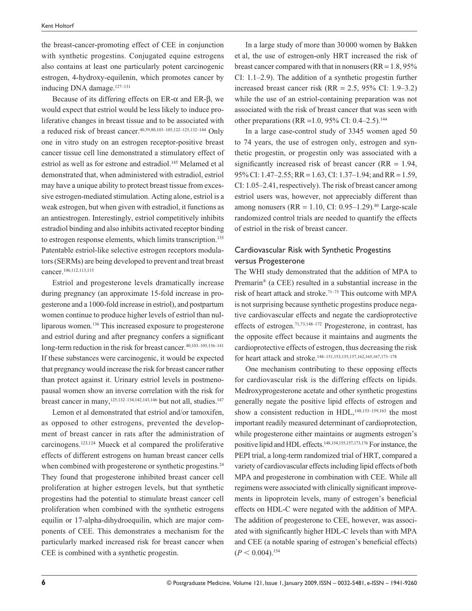the breast-cancer-promoting effect of CEE in conjunction with synthetic progestins. Conjugated equine estrogens also contains at least one particularly potent carcinogenic estrogen, 4-hydroxy-equilenin, which promotes cancer by inducing DNA damage.<sup>127–131</sup>

Because of its differing effects on ER- $\alpha$  and ER- $\beta$ , we would expect that estriol would be less likely to induce proliferative changes in breast tissue and to be associated with a reduced risk of breast cancer.40,59,80,103–105,122–125,132–144 Only one in vitro study on an estrogen receptor-positive breast cancer tissue cell line demonstrated a stimulatory effect of estriol as well as for estrone and estradiol.<sup>145</sup> Melamed et al demonstrated that, when administered with estradiol, estriol may have a unique ability to protect breast tissue from excessive estrogen-mediated stimulation. Acting alone, estriol is a weak estrogen, but when given with estradiol, it functions as an antiestrogen. Interestingly, estriol competitively inhibits estradiol binding and also inhibits activated receptor binding to estrogen response elements, which limits transcription.<sup>135</sup> Patentable estriol-like selective estrogen receptors modulators (SERMs) are being developed to prevent and treat breast cancer.106,112,113,115

Estriol and progesterone levels dramatically increase during pregnancy (an approximate 15-fold increase in progesterone and a 1000-fold increase in estriol), and postpartum women continue to produce higher levels of estriol than nulliparous women.136 This increased exposure to progesterone and estriol during and after pregnancy confers a significant long-term reduction in the risk for breast cancer.<sup>40,103-105,136-141</sup> If these substances were carcinogenic, it would be expected that pregnancy would increase the risk for breast cancer rather than protect against it. Urinary estriol levels in postmenopausal women show an inverse correlation with the risk for breast cancer in many,  $^{125,132-134,142,143,146}$  but not all, studies.<sup>147</sup>

Lemon et al demonstrated that estriol and/or tamoxifen, as opposed to other estrogens, prevented the development of breast cancer in rats after the administration of carcinogens.123,124 Mueck et al compared the proliferative effects of different estrogens on human breast cancer cells when combined with progesterone or synthetic progestins.<sup>24</sup> They found that progesterone inhibited breast cancer cell proliferation at higher estrogen levels, but that synthetic progestins had the potential to stimulate breast cancer cell proliferation when combined with the synthetic estrogens equilin or 17-alpha-dihydroequilin, which are major components of CEE. This demonstrates a mechanism for the particularly marked increased risk for breast cancer when CEE is combined with a synthetic progestin.

In a large study of more than 30 000 women by Bakken et al, the use of estrogen-only HRT increased the risk of breast cancer compared with that in nonusers  $(RR = 1.8, 95\%$ CI: 1.1–2.9). The addition of a synthetic progestin further increased breast cancer risk (RR =  $2.5$ , 95% CI: 1.9–3.2) while the use of an estriol-containing preparation was not associated with the risk of breast cancer that was seen with other preparations (RR = 1.0, 95% CI: 0.4–2.5).<sup>144</sup>

In a large case-control study of 3345 women aged 50 to 74 years, the use of estrogen only, estrogen and synthetic progestin, or progestin only was associated with a significantly increased risk of breast cancer ( $RR = 1.94$ , 95% CI: 1.47–2.55; RR = 1.63, CI: 1.37–1.94; and RR = 1.59, CI: 1.05–2.41, respectively). The risk of breast cancer among estriol users was, however, not appreciably different than among nonusers (RR = 1.10, CI: 0.95–1.29).<sup>80</sup> Large-scale randomized control trials are needed to quantify the effects of estriol in the risk of breast cancer.

### Cardiovascular Risk with Synthetic Progestins versus Progesterone

The WHI study demonstrated that the addition of MPA to Premarin® (a CEE) resulted in a substantial increase in the risk of heart attack and stroke.71–73 This outcome with MPA is not surprising because synthetic progestins produce negative cardiovascular effects and negate the cardioprotective effects of estrogen.71,73,148–172 Progesterone, in contrast, has the opposite effect because it maintains and augments the cardioprotective effects of estrogen, thus decreasing the risk for heart attack and stroke.148–151,153,155,157,162,165,167,173–178

One mechanism contributing to these opposing effects for cardiovascular risk is the differing effects on lipids. Medroxyprogesterone acetate and other synthetic progestins generally negate the positive lipid effects of estrogen and show a consistent reduction in HDL, $^{148,153-159,163}$  the most important readily measured determinant of cardioprotection, while progesterone either maintains or augments estrogen's positive lipid and HDL effects.148,154,155,157,173,176 For instance, the PEPI trial, a long-term randomized trial of HRT, compared a variety of cardiovascular effects including lipid effects of both MPA and progesterone in combination with CEE. While all regimens were associated with clinically significant improvements in lipoprotein levels, many of estrogen's beneficial effects on HDL-C were negated with the addition of MPA. The addition of progesterone to CEE, however, was associated with significantly higher HDL-C levels than with MPA and CEE (a notable sparing of estrogen's beneficial effects)  $(P < 0.004)$ .<sup>154</sup>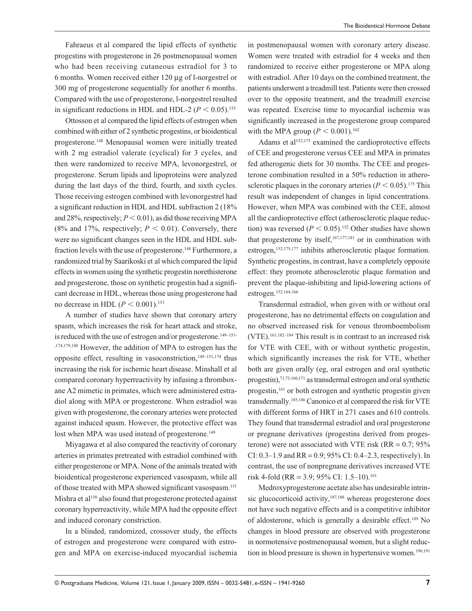Fahraeus et al compared the lipid effects of synthetic progestins with progesterone in 26 postmenopausal women who had been receiving cutaneous estradiol for 3 to 6 months. Women received either 120 µg of l-norgestrel or 300 mg of progesterone sequentially for another 6 months. Compared with the use of progesterone, l-norgestrel resulted in significant reductions in HDL and HDL-2 ( $P < 0.05$ ).<sup>155</sup>

Ottosson et al compared the lipid effects of estrogen when combined with either of 2 synthetic progestins, or bioidentical progesterone.148 Menopausal women were initially treated with 2 mg estradiol valerate (cyclical) for 3 cycles, and then were randomized to receive MPA, levonorgestrel, or progesterone. Serum lipids and lipoproteins were analyzed during the last days of the third, fourth, and sixth cycles. Those receiving estrogen combined with levonorgestrel had a significant reduction in HDL and HDL subfraction 2 (18% and 28%, respectively;  $P \le 0.01$ ), as did those receiving MPA (8% and 17%, respectively;  $P < 0.01$ ). Conversely, there were no significant changes seen in the HDL and HDL subfraction levels with the use of progesterone.<sup>148</sup> Furthermore, a randomized trial by Saarikoski et al which compared the lipid effects in women using the synthetic progestin norethisterone and progesterone, those on synthetic progestin had a significant decrease in HDL, whereas those using progesterone had no decrease in HDL  $(P < 0.001)$ .<sup>153</sup>

A number of studies have shown that coronary artery spasm, which increases the risk for heart attack and stroke, is reduced with the use of estrogen and/or progesterone.<sup>149–151-</sup> ,174,179,180 However, the addition of MPA to estrogen has the opposite effect, resulting in vasoconstriction,<sup>149–151,174</sup> thus increasing the risk for ischemic heart disease. Minshall et al compared coronary hyperreactivity by infusing a thromboxane A2 mimetic in primates, which were administered estradiol along with MPA or progesterone. When estradiol was given with progesterone, the coronary arteries were protected against induced spasm. However, the protective effect was lost when MPA was used instead of progesterone.<sup>149</sup>

Miyagawa et al also compared the reactivity of coronary arteries in primates pretreated with estradiol combined with either progesterone or MPA. None of the animals treated with bioidentical progesterone experienced vasospasm, while all of those treated with MPA showed significant vasospasm.<sup>151</sup> Mishra et al<sup>150</sup> also found that progesterone protected against coronary hyperreactivity, while MPA had the opposite effect and induced coronary constriction.

In a blinded, randomized, crossover study, the effects of estrogen and progesterone were compared with estrogen and MPA on exercise-induced myocardial ischemia in postmenopausal women with coronary artery disease. Women were treated with estradiol for 4 weeks and then randomized to receive either progesterone or MPA along with estradiol. After 10 days on the combined treatment, the patients underwent a treadmill test. Patients were then crossed over to the opposite treatment, and the treadmill exercise was repeated. Exercise time to myocardial ischemia was significantly increased in the progesterone group compared with the MPA group ( $P < 0.001$ ).<sup>162</sup>

Adams et al $152,175$  examined the cardioprotective effects of CEE and progesterone versus CEE and MPA in primates fed atherogenic diets for 30 months. The CEE and progesterone combination resulted in a 50% reduction in atherosclerotic plaques in the coronary arteries ( $P < 0.05$ ).<sup>175</sup> This result was independent of changes in lipid concentrations. However, when MPA was combined with the CEE, almost all the cardioprotective effect (atherosclerotic plaque reduction) was reversed  $(P < 0.05)$ .<sup>152</sup> Other studies have shown that progesterone by itself, $167,177,181$  or in combination with estrogen,<sup>152,175,177</sup> inhibits atherosclerotic plaque formation. Synthetic progestins, in contrast, have a completely opposite effect: they promote atherosclerotic plaque formation and prevent the plaque-inhibiting and lipid-lowering actions of estrogen.152,164,166

Transdermal estradiol, when given with or without oral progesterone, has no detrimental effects on coagulation and no observed increased risk for venous thromboembolism (VTE).161,182–184 This result is in contrast to an increased risk for VTE with CEE, with or without synthetic progestin, which significantly increases the risk for VTE, whether both are given orally (eg, oral estrogen and oral synthetic progestin),71,73,160,171 as transdermal estrogen and oral synthetic progestin,161 or both estrogen and synthetic progestin given transdermally.185,186 Canonico et al compared the risk for VTE with different forms of HRT in 271 cases and 610 controls. They found that transdermal estradiol and oral progesterone or pregnane derivatives (progestins derived from progesterone) were not associated with VTE risk (RR =  $0.7$ ;  $95\%$ CI:  $0.3-1.9$  and RR =  $0.9$ ;  $95\%$  CI:  $0.4-2.3$ , respectively). In contrast, the use of nonpregnane derivatives increased VTE risk 4-fold (RR = 3.9; 95% CI: 1.5–10).<sup>161</sup>

Medroxyprogesterone acetate also has undesirable intrinsic glucocorticoid activity,<sup>187,188</sup> whereas progesterone does not have such negative effects and is a competitive inhibitor of aldosterone, which is generally a desirable effect.<sup>189</sup> No changes in blood pressure are observed with progesterone in normotensive postmenopausal women, but a slight reduction in blood pressure is shown in hypertensive women.<sup>190,191</sup>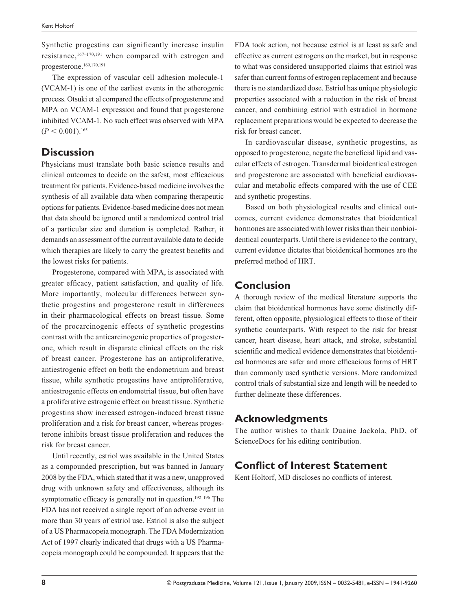Synthetic progestins can significantly increase insulin resistance, $167-170,191$  when compared with estrogen and progesterone.169,170,191

The expression of vascular cell adhesion molecule-1 (VCAM-1) is one of the earliest events in the atherogenic process. Otsuki et al compared the effects of progesterone and MPA on VCAM-1 expression and found that progesterone inhibited VCAM-1. No such effect was observed with MPA  $(P < 0.001).$ <sup>165</sup>

## **Discussion**

Physicians must translate both basic science results and clinical outcomes to decide on the safest, most efficacious treatment for patients. Evidence-based medicine involves the synthesis of all available data when comparing therapeutic options for patients. Evidence-based medicine does not mean that data should be ignored until a randomized control trial of a particular size and duration is completed. Rather, it demands an assessment of the current available data to decide which therapies are likely to carry the greatest benefits and the lowest risks for patients.

Progesterone, compared with MPA, is associated with greater efficacy, patient satisfaction, and quality of life. More importantly, molecular differences between synthetic progestins and progesterone result in differences in their pharmacological effects on breast tissue. Some of the procarcinogenic effects of synthetic progestins contrast with the anticarcinogenic properties of progesterone, which result in disparate clinical effects on the risk of breast cancer. Progesterone has an antiproliferative, antiestrogenic effect on both the endometrium and breast tissue, while synthetic progestins have antiproliferative, antiestrogenic effects on endometrial tissue, but often have a proliferative estrogenic effect on breast tissue. Synthetic progestins show increased estrogen-induced breast tissue proliferation and a risk for breast cancer, whereas progesterone inhibits breast tissue proliferation and reduces the risk for breast cancer.

Until recently, estriol was available in the United States as a compounded prescription, but was banned in January 2008 by the FDA, which stated that it was a new, unapproved drug with unknown safety and effectiveness, although its symptomatic efficacy is generally not in question.<sup>192-196</sup> The FDA has not received a single report of an adverse event in more than 30 years of estriol use. Estriol is also the subject of a US Pharmacopeia monograph. The FDA Modernization Act of 1997 clearly indicated that drugs with a US Pharmacopeia monograph could be compounded. It appears that the

FDA took action, not because estriol is at least as safe and effective as current estrogens on the market, but in response to what was considered unsupported claims that estriol was safer than current forms of estrogen replacement and because there is no standardized dose. Estriol has unique physiologic properties associated with a reduction in the risk of breast cancer, and combining estriol with estradiol in hormone replacement preparations would be expected to decrease the risk for breast cancer.

In cardiovascular disease, synthetic progestins, as opposed to progesterone, negate the beneficial lipid and vascular effects of estrogen. Transdermal bioidentical estrogen and progesterone are associated with beneficial cardiovascular and metabolic effects compared with the use of CEE and synthetic progestins.

Based on both physiological results and clinical outcomes, current evidence demonstrates that bioidentical hormones are associated with lower risks than their nonbioidentical counterparts. Until there is evidence to the contrary, current evidence dictates that bioidentical hormones are the preferred method of HRT.

# **Conclusion**

A thorough review of the medical literature supports the claim that bioidentical hormones have some distinctly different, often opposite, physiological effects to those of their synthetic counterparts. With respect to the risk for breast cancer, heart disease, heart attack, and stroke, substantial scientific and medical evidence demonstrates that bioidentical hormones are safer and more efficacious forms of HRT than commonly used synthetic versions. More randomized control trials of substantial size and length will be needed to further delineate these differences.

## **Acknowledgments**

The author wishes to thank Duaine Jackola, PhD, of ScienceDocs for his editing contribution.

# **Conflict of Interest Statement**

Kent Holtorf, MD discloses no conflicts of interest.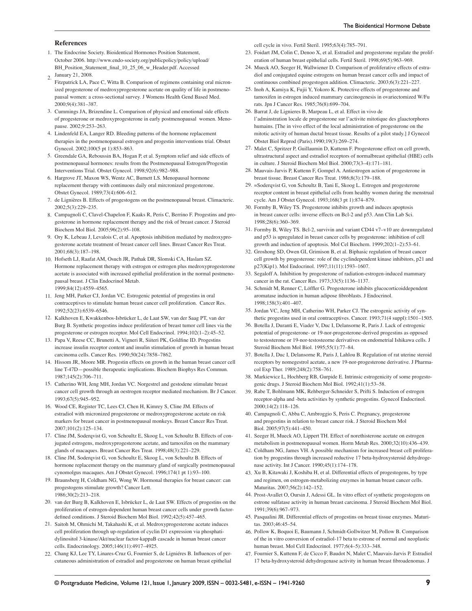#### **References**

- 1. The Endocrine Society. Bioidentical Hormones Position Statement, October 2006. http://www.endo-society.org/publicpolicy/policy/upload/ BH\_Position\_Statement\_final\_10\_25\_06\_w\_Header.pdf. Accessed January 21, 2008.
- Fitzpatrick LA, Pace C, Witta B. Comparison of regimens containing oral micronized progesterone of medroxyprogesterone acetate on quality of life in postmenopausal women: a cross-sectional survey. J Womens Health Gend Based Med. 2000;9(4):381–387. 2.
- Cummings JA, Brizendine L. Comparison of physical and emotional side effects 3. of progesterone or medroxyprogesterone in early postmenopausal women. Menopause. 2002;9:253–263.
- 4. Lindenfeld EA, Langer RD. Bleeding patterns of the hormone replacement therapies in the postmenopausal estrogen and progestin interventions trial. Obstet Gynecol. 2002;100(5 pt 1):853–863.
- 5. Greendale GA, Reboussin BA, Hogan P, et al. Symptom relief and side effects of postmenopausal hormones: results from the Postmenopausal Estrogen/Progestin Interventions Trial. Obstet Gynecol. 1998;92(6):982–988.
- 6. Hargrove JT, Maxon WS, Wentz AC, Burnett LS. Menopausal hormone replacement therapy with continuous daily oral mircronized progesterone. Obstet Gynecol. 1989;73(4):606–612.
- 7. de Lignières B. Effects of progestogens on the postmenopausal breast. Climacteric. 2002;5(3):229–235.
- 8. Campagnoli C, Clavel-Chapelon F, Kaaks R, Peris C, Berrino F. Progestins and progesterone in hormone replacement therapy and the risk of breast cancer. J Steroid Biochem Mol Biol. 2005;96(2):95–108.
- 9. Ory K, Lebeau J, Levalois C, et al. Apoptosis inhibition mediated by medroxyprogesterone acetate treatment of breast cancer cell lines. Breast Cancer Res Treat. 2001;68(3):187–198.
- 10. Hofseth LJ, Raafat AM, Osuch JR, Pathak DR, Slomski CA, Haslam SZ. Hormone replacement therapy with estrogen or estrogen plus medroxyprogesterone acetate is associated with increased epithelial proliferation in the normal postmenopausal breast. J Clin Endocrinol Metab. 1999;84(12):4559–4565.
- 11. Jeng MH, Parker CJ, Jordan VC. Estrogenic potential of progestins in oral contraceptives to stimulate human breast cancer cell proliferation. Cancer Res. 1992;52(23):6539–6546.
- 12. Kalkhoven E, Kwakkenbos-Isbrücker L, de Laat SW, van der Saag PT, van der Burg B. Synthetic progestins induce proliferation of breast tumor cell lines via the progesterone or estrogen receptor. Mol Cell Endocrinol. 1994;102(1–2):45–52.
- 13. Papa V, Reese CC, Brunetti A, Vigneri R, Siiteri PK, Goldfine ID. Progestins increase insulin receptor content and insulin stimulation of growth in human breast carcinoma cells. Cancer Res. 1990;50(24):7858–7862.
- 14. Hissom JR, Moore MR. Progestin effects on growth in the human breast cancer cell line T-47D—possible therapeutic implications. Biochem Biophys Res Commun. 1987;145(2):706–711.
- 15. Catherino WH, Jeng MH, Jordan VC. Norgestrel and gestodene stimulate breast cancer cell growth through an oestrogen receptor mediated mechanism. Br J Cancer. 1993;67(5):945–952.
- 16. Wood CE, Register TC, Lees CJ, Chen H, Kimrey S, Cline JM. Effects of estradiol with micronized progesterone or medroxyprogesterone acetate on risk markers for breast cancer in postmenopausal monkeys. Breast Cancer Res Treat. 2007;101(2):125–134.
- 17. Cline JM, Soderqvist G, von Schoultz E, Skoog L, von Schoultz B. Effects of conjugated estrogens, medroxyprogesterone acetate, and tamoxifen on the mammary glands of macaques. Breast Cancer Res Treat. 1998;48(3):221–229.
- 18. Cline JM, Soderqvist G, von Schoultz E, Skoog L, von Schoultz B. Effects of hormone replacement therapy on the mammary gland of surgically postmenopausal cynomolgus macaques. Am J Obstet Gynecol. 1996;174(1 pt 1):93–100.
- 19. Braunsberg H, Coldham NG, Wong W. Hormonal therapies for breast cancer: can progestogens stimulate growth? Cancer Lett. 1986;30(2):213–218.
- 20. van der Burg B, Kalkhoven E, Isbrücker L, de Laat SW. Effects of progestins on the proliferation of estrogen-dependent human breast cancer cells under growth factordefined conditions. J Steroid Biochem Mol Biol. 1992;42(5):457–465.
- 21. Saitoh M, Ohmichi M, Takahashi K, et al. Medroxyprogesterone acetate induces cell proliferation through up-regulation of cyclin D1 expression via phosphatidylinositol 3-kinase/Akt/nuclear factor-kappaB cascade in human breast cancer cells. Endocrinology. 2005;146(11):4917–4925.
- Chang KJ, Lee TY, Linares-Cruz G, Fournier S, de Ligniéres B. Influences of per-22. cutaneous administration of estradiol and progesterone on human breast epithelial

cell cycle in vivo. Fertil Steril. 1995;63(4):785–791.

- 23. Foidart JM, Colin C, Denoo X, et al. Estradiol and progesterone regulate the proliferation of human breast epithelial cells. Fertil Steril. 1998;69(5):963–969.
- 24. Mueck AO, Seeger H, Wallwiener D. Comparison of proliferative effects of estradiol and conjugated equine estrogens on human breast cancer cells and impact of continuous combined progestogen addition. Climacteric. 2003;6(3):221–227.
- 25. Inoh A, Kamiya K, Fujii Y, Yokoro K. Protective effects of progesterone and tamoxifen in estrogen induced mammary carcinogenesis in ovariectomized W/Fu rats. Jpn J Cancer Res. 1985;76(8):699–704.
- 26. Barrat J, de Lignieres B, Marpeau L, et al. Effect in vivo de l'adminstration locale de progesterone sur l'activite mitotique des glaactorphores humains. [The in vivo effect of the local administration of progesterone on the mitotic activity of human ductal breast tissue. Results of a pilot study.] J Gynecol Obstet Biol Reprod (Paris).1990;19(3):269–274.
- 27. Malet C, Spritzer P, Guillaumin D, Kuttenn F. Progesterone effect on cell growth, ultrastructural aspect and estradiol receptors of normalbreast epithelial (HBE) cells in culture. J Steroid Biochem Mol Biol. 2000;73(3–4):171–181.
- 28. Mauvais-Jarvis P, Kuttenn F, Gompel A. Antiestrogen action of progesterone in breast tissue. Breast Cancer Res Treat. 1986;8(3):179–188.
- =Soderqvist G, von Schoultz B, Tani E, Skoog L. Estrogen and progesterone 29. receptor content in breast epithelial cells from healthy women during the menstrual cycle. Am J Obstet Gynecol. 1993;168(3 pt 1):874–879.
- Formby B, Wiley TS. Progesterone inhibits growth and induces apoptosis 30. in breast cancer cells: inverse effects on Bcl-2 and p53. Ann Clin Lab Sci. 1998;28(6):360–369.
- Formby B, Wiley TS. Bcl-2, survivin and variant CD44 v7–v10 are downregulated 31. and p53 is upregulated in breast cancer cells by progesterone: inhibition of cell growth and induction of apoptosis. Mol Cel Biochem. 1999;202(1–2):53–61.
- 32. Groshong SD, Owen GI, Grimison B, et al. Biphasic regulation of breast cancer cell growth by progesterone: role of the cyclindependent kinase inhibitors, p21 and p27(Kip1). Mol Endocrinol. 1997;11(11):1593–1607.
- 33. Segaloff A. Inhibition by progesterone of radiation-estrogen-induced mammary cancer in the rat. Cancer Res. 1973;33(5):1136–1137.
- 34. Schmidt M, Renner C, Löffler G. Progesterone inhibits glucocorticoiddependent aromatase induction in human adipose fibroblasts. J Endocrinol. 1998;158(3):401–407.
- 35. Jordan VC, Jeng MH, Catherino WH, Parker CJ. The estrogenic activity of synthetic progestins used in oral contraceptives. Cancer. 1993;71(4 suppl):1501–1505.
- 36. Botella J, Duranti E, Viader V, Duc I, Delansorne R, Paris J. Lack of estrogenic potential of progesterone- or 19-nor-progesterone-derived progestins as opposed to testosterone or 19-nor-testosteorne derivatives on endometrial Ishikawa cells. J Steroid Biochem Mol Biol. 1995;55(1):77–84.
- 37. Botella J, Duc I, Delansorne R, Paris J, Lahlou B. Regulation of rat uterine steroid receptors by nomegestrol acetate, a new 19-nor-progesterone derivative. J Pharmacol Exp Ther. 1989;248(2):758–761.
- 38. Markiewicz L, Hochberg RB, Gurpide E. Intrinsic estrogenicity of some progestogenic drugs. J Steroid Biochem Mol Biol. 1992;41(1):53–58.
- Rabe T, Bohlmann MK, Rehberger-Schneider S, Prifti S. Induction of estrogen 39. receptor-alpha and -beta activities by synthetic progestins. Gynecol Endocrinol. 2000;14(2):118–126.
- 40. Campagnoli C, Abba C, Ambroggio S, Peris C. Pregnancy, progesterone and progestins in relation to breast cancer risk. J Steroid Biochem Mol Biol. 2005;97(5):441–450.
- 41. Seeger H, Mueck AO, Lippert TH. Effect of norethisterone acetate on estrogen metabolism in postmenopausal women. Horm Metab Res. 2000;32(10):436–439.
- Coldham NG, James VH. A possible mechanism for increased breast cell prolifera-42. tion by progestins through increased reductive 17 beta-hydroxysteroid dehydrogenase activity. Int J Cancer. 1990;45(1):174–178.
- 43. Xu B, Kitawaki J, Koshiba H, et al. Differential effects of progestogens, by type and regimen, on estrogen-metabolizing enzymes in human breast cancer cells. Maturitas. 2007;56(2):142–152.
- 44. Prost-Avallet O, Oursin J, Adessi GL. In vitro effect of synthetic progestogens on estrone sulfatase activity in human breast carcinoma. J Steroid Biochem Mol Biol. 1991;39(6):967–973.
- 45. Pasqualini JR. Differential effects of progestins on breast tissue enzymes. Maturitas. 2003;46:45–54.
- 46. Pollow K, Boquoi E, Baumann J, Schmidt-Gollwitzer M, Pollow B. Comparison of the in vitro conversion of estradiol-17 beta to estrone of normal and neoplastic human breast. Mol Cell Endocrinol. 1977;6(4–5):333–348.
- Fournier S, Kuttenn F, de Cicco F, Baudot N, Malet C, Mauvais-Jarvis P. Estradiol 47. 17 beta-hydroxysteroid dehydrogenase activity in human breast fibroadenomas. J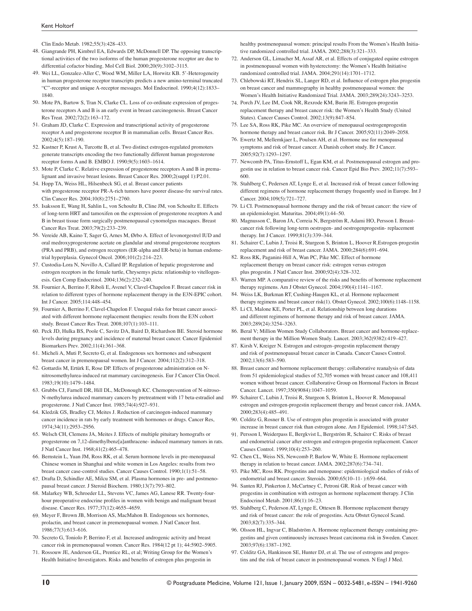Clin Endo Metab. 1982;55(3):428–433.

- Giangrande PH, Kimbrel EA, Edwards DP, McDonnell DP. The opposing transcrip-48. tional activities of the two isoforms of the human progesterone receptor are due to differential cofactor binding. Mol Cell Biol. 2000;20(9):3102–3115.
- 49. Wei LL, Gonzalez-Aller C, Wood WM, Miller LA, Horwitz KB. 5'-Heterogeneity in human progesterone receptor transcripts predicts a new amino-terminal truncated "C"-receptor and unique A-receptor messages. Mol Endocrinol. 1990;4(12):1833– 1840.
- 50. Mote PA, Bartow S, Tran N, Clarke CL. Loss of co-ordinate expression of progesterone receptors A and B is an early event in breast carcinogenesis. Breast Cancer Res Treat. 2002;72(2):163–172.
- 51. Graham JD, Clarke C. Expression and transcriptional activity of progesterone receptor A and progesterone receptor B in mammalian cells. Breast Cancer Res. 2002;4(5):187–190.
- 52. Kastner P, Krust A, Turcotte B, et al. Two distinct estrogen-regulated promoters generate transcripts encoding the two functionally different human progesterone receptor forms A and B. EMBO J. 1990;9(5):1603–1614.
- 53. Mote P, Clarke C. Relative expression of progesterone receptors A and B in premalignant and invasive breast lesions. Breast Cancer Res. 2000;2(suppl 1):P2.01.
- 54. Hopp TA, Weiss HL, Hilsenbeck SG, et al. Breast cancer patients with progesterone receptor PR-A-rich tumors have poorer disease-fre survival rates. Clin Cancer Res. 2004;10(8):2751–2760.
- 55. Isaksson E, Wang H, Sahlin L, von Schoultz B, Cline JM, von Schoultz E. Effects of long-term HRT and tamoxifen on the expression of progesterone receptors A and B in breast tissue form surgically postmenopausal cynomolgus macaques. Breast Cancer Res Treat. 2003;79(2):233–239.
- 56. Vereide AB, Kaino T, Sager G, Arnes M, Ørbo A. Effect of levonorgestrel IUD and oral medroxyprogesterone acetate on glandular and stromal progesterone receptors (PRA and PRB), and estrogen receptors (ER-alpha and ER-beta) in human endometrial hyperplasia. Gynecol Oncol. 2006;101(2):214–223.
- 57. Custodia-Lora N, Novillo A, Callard IP. Regulation of hepatic progesterone and estrogen receptors in the female turtle, Chrysemys picta: relationship to vitellogenesis. Gen Comp Endocrinol. 2004;136(2):232–240.
- 58. Fournier A, Berrino F, Riboli E, Avenel V, Clavel-Chapelon F. Breast cancer risk in relation to different types of hormone replacement therapy in the E3N-EPIC cohort. Int J Cancer. 2005;114:448–454.
- 59. Fournier A, Berrino F, Clavel-Chapelon F. Unequal risks for breast cancer associated with different hormone replacement therapies: results from the E3N cohort study. Breast Cancer Res Treat. 2008;107(1):103–111.
- 60. Peck JD, Hulka BS, Poole C, Savitz DA, Baird D, Richardson BE. Steroid hormone levels during pregnancy and incidence of maternal breast cancer. Cancer Epidemiol Biomarkers Prev. 2002;11(4):361–368.
- 61. Micheli A, Muti P, Secreto G, et al. Endogenous sex hormones and subsequent breast cancer in premenopausal women. Int J Cancer. 2004;112(2):312–318.
- 62. Gottardis M, Ertürk E, Rose DP. Effects of progesterone administration on Nnitrosomethylurea-induced rat mammary carcinogenesis. Eur J Cancer Clin Oncol. 1983;19(10):1479–1484.
- Grubbs CJ, Farnell DR, Hill DL, McDonough KC. Chemoprevention of N-nitroso-63. N-methylurea induced mammary cancers by pretreatment with 17 beta-estradiol and progesterone. J Natl Cancer Inst. 1985;74(4):927–931.
- 64. Kledzik GS, Bradley CJ, Meites J. Reduction of carcinogen-induced mammary cancer incidence in rats by early treatment with hormones or drugs. Cancer Res, 1974;34(11):2953–2956.
- 65. Welsch CH, Clemens JA, Meites J. Effects of multiple pituitary homografts or progesterone on 7,12-dimethylbenz[a]anthracene- induced mammary tumors in rats. J Natl Cancer Inst. 1968;41(2):465–478.
- 66. Bernstein L, Yuan JM, Ross RK, et al. Serum hormone levels in pre-menopausal Chinese women in Shanghai and white women in Los Angeles: results from two breast cancer case-control studies. Cancer Causes Control. 1990;1(1):51–58.
- 67. Drafta D, Schindler AE, Milcu SM, et al. Plasma hormones in pre- and postmenopausal breast cancer. J Steroid Biochem. 1980;13(7):793–802.
- 68. Malarkey WB, Schroeder LL, Stevens VC, James AG, Lanese RR. Twenty-fourhour preoperative endocrine profiles in women with benign and malignant breast disease. Cancer Res. 1977;37(12):4655–4659.
- 69. Meyer F, Brown JB, Morrison AS, MacMahon B. Endogenous sex hormones, prolactin, and breast cancer in premenopausal women. J Natl Cancer Inst. 1986;77(3):613–616.
- 70. Secreto G, Toniolo P, Berrino F, et al. Increased androgenic activity and breast cancer risk in premenopausal women. Cancer Res. 1984(12 pt 1); 44:5902–5905.
- 71. Rossouw JE, Anderson GL, Prentice RL, et al; Writing Group for the Women's Health Initiative Investigators. Risks and benefits of estrogen plus progestin in

healthy postmenopausal women: principal results From the Women's Health Initiative randomized controlled trial. JAMA. 2002;288(3):321–333.

- 72. Anderson GL, Limacher M, Assaf AR, et al. Effects of conjugated equine estrogen in postmenopausal women with hysterectomy: the Women's Health Initiative randomized controlled trial. JAMA. 2004;291(14):1701–1712.
- 73. Chlebowski RT, Hendrix SL, Langer RD, et al. Influence of estrogen plus progestin on breast cancer and mammography in healthy postmenopausal women: the Women's Health Initiative Randomized Trial. JAMA. 2003;289(24):3243–3253.
- 74. Porch JV, Lee IM, Cook NR, Rexrode KM, Burin JE. Estrogen-progestin replacement therapy and breast cancer risk: the Women's Health Study (United States). Cancer Causes Control. 2002;13(9):847–854.
- 75. Lee SA, Ross RK, Pike MC. An overview of menopausal oestrogenprogestin hormone therapy and breast cancer risk. Br J Cancer. 2005;92(11):2049–2058.
- 76. Ewertz M, Mellemkjaer L, Poulsen AH, et al. Hormone use for menopausal symptoms and risk of breast cancer. A Danish cohort study. Br J Cancer. 2005;92(7):1293–1297.
- 77. Newcomb PA, Titus-Ernstoff L, Egan KM, et al. Postmenopausal estrogen and progestin use in relation to breast cancer risk. Cancer Epid Bio Prev. 2002;11(7):593– 600.
- 78. Stahlberg C, Pedersen AT, Lynge E, et al. Increased risk of breast cancer following different regimens of hormone replacement therapy frequently used in Europe. Int J Cancer. 2004;109(5):721–727.
- Li CI. Postmenopausal hormone therapy and the risk of breast cancer: the view of 79. an epidemiologist. Maturitas. 2004;49(1):44–50.
- 80. Magnusson C, Baron JA, Correia N, Bergström R, Adami HO, Persson I. Breastcancer risk following long-term oestrogen- and oestrogenprogestin- replacement therapy. Int J Cancer. 1999;81(3):339–344.
- Schairer C, Lubin J, Troisi R, Sturgeon S, Brinton L, Hoover R.Estrogen-progestin 81. replacement and risk of breast cancer. JAMA. 2000;284(6):691–694.
- 82. Ross RK, Paganini-Hill A, Wan PC, Pike MC. Effect of hormone replacement therapy on breast cancer risk: estrogen versus estrogen plus progestin. J Natl Cancer Inst. 2000;92(4):328–332.
- 83. Warren MP. A comparative review of the risks and benefits of hormone replacement therapy regimens. Am J Obstet Gynecol. 2004;190(4):1141–1167.
- 84. Weiss LK, Burkman RT, Cushing-Haugen KL, et al. Hormone replacement therapy regimens and breast cancer risk(1). Obstet Gynecol. 2002;100(6):1148–1158.
- 85. Li CI, Malone KE, Porter PL, et al. Relationship between long durations and different regimens of hormone therapy and risk of breast cancer. JAMA. 2003;289(24):3254–3263.
- 86. Beral V; Million Women Study Collaborators. Breast cancer and hormone-replacement therapy in the Million Women Study. Lancet. 2003;362(9382):419–427.
- 87. Kirsh V, Kreiger N. Estrogen and estrogen–progestin replacement therapy and risk of postmenopausal breast cancer in Canada. Cancer Causes Control. 2002;13(6):583–590.
- 88. Breast cancer and hormone replacement therapy: collaborative reanalysis of data from 51 epidemiological studies of 52,705 women with breast cancer and 108,411 women without breast cancer. Collaborative Group on Hormonal Factors in Breast Cancer. Lancet. 1997;350(9084):1047–1059.
- 89. Schairer C, Lubin J, Troisi R, Sturgeon S, Brinton L, Hoover R. Menopausal estrogen and estrogen-progestin replacement therapy and breast cancer risk. JAMA. 2000;283(4):485–491.
- 90. Colditz G, Rosner B. Use of estrogen plus progestin is associated with greater increase in breast cancer risk than estrogen alone. Am J Epidemiol. 1998;147:S45.
- 91. Persson I, Weiderpass E, Bergkvist L, Bergström R, Schairer C. Risks of breast and endometrial cancer after estrogen and estrogen-progestin replacement. Cancer Causes Control. 1999;10(4):253–260.
- 92. Chen CL, Weiss NS, Newcomb P, Barlow W, White E. Hormone replacement therapy in relation to breast cancer. JAMA. 2002;287(6):734–741.
- 93. Pike MC, Ross RK. Progestins and menopause: epidemiological studies of risks of endometrial and breast cancer. Steroids. 2000;65(10–11- ):659–664.
- 94. Santen RJ, Pinkerton J, McCartney C, Petroni GR. Risk of breast cancer with progestins in combination with estrogen as hormone replacement therapy. J Clin Endocrinol Metab. 2001;86(1):16–23.
- 95. Stahlberg C, Pederson AT, Lynge E, Ottesen B. Hormone replacement therapy and risk of breast cancer: the role of progestins. Acta Obstet Gynecol Scand. 2003;82(7):335–344.
- 96. Olsson HL, Ingvar C, Bladström A. Hormone replacement therapy containing progestins and given continuously increases breast carcinoma risk in Sweden. Cancer. 2003;97(6):1387–1392.
- 97. Colditz GA, Hankinson SE, Hunter DJ, et al. The use of estrogens and progestins and the risk of breast cancer in postmenopausal women. N Engl J Med.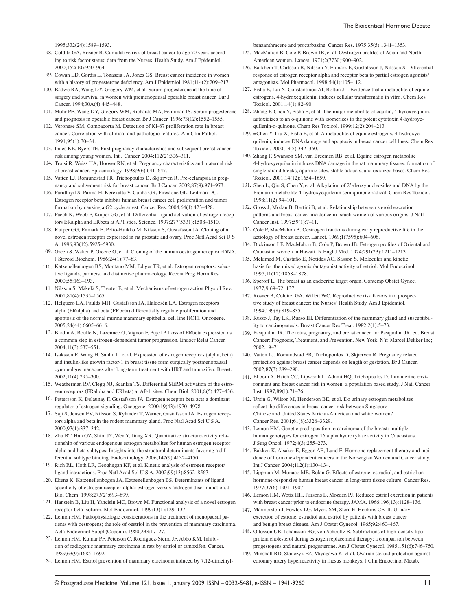1995;332(24):1589–1593.

- 98. Colditz GA, Rosner B. Cumulative risk of breast cancer to age 70 years according to risk factor status: data from the Nurses' Health Study. Am J Epidemiol. 2000;152(10):950–964.
- 99. Cowan LD, Gordis L, Tonascia JA, Jones GS. Breast cancer incidence in women with a history of progesterone deficiency. Am J Epidemiol 1981;114(2):209–217.
- 100. Badwe RA, Wang DY, Gregory WM, et al. Serum progesterone at the time of surgery and survival in women with premenopausal operable breast cancer. Eur J Cancer. 1994;30A(4):445–448.
- 101. Mohr PE, Wang DY, Gregory WM, Richards MA, Fentiman IS. Serum progesterone and prognosis in operable breast cancer. Br J Cancer. 1996;73(12):1552–1555.
- 102. Veronese SM, Gambacorta M. Detection of Ki-67 proliferation rate in breast cancer. Correlation with clinical and pathologic features. Am Clin Pathol. 1991;95(1):30–34.
- 103. Innes KE, Byers TE. First pregnancy characteristics and subsequent breast cancer risk among young women. Int J Cancer. 2004;112(2):306–311.
- 104. Troisi R, Weiss HA, Hoover RN, et al. Pregnancy characteristics and maternal risk of breast cancer. Epidemiology. 1998;9(6):641–647.
- 105. Vatten LJ, Romundstad PR, Trichopoulos D, Skjærven R. Pre-eclampsia in pregnancy and subsequent risk for breast cancer. Br J Cancer. 2002;87(9):971–973.
- 106. Paruthiyil S, Parma H, Kerekatte V, Cunha GR, Firestone GL, Leitman DC. Estrogen receptor beta inhibits human breast cancer cell proliferation and tumor formation by causing a G2 cycle arrest. Cancer Res. 2004;64(1):423–428.
- 107. Paech K, Webb P, Kuiper GG, et al. Differential ligand activation of estrogen receptors ERalpha and ERbeta at AP1 sties. Science. 1997;277(5331):1508–1510.
- 108. Kuiper GG, Enmark E, Pelto-Huikko M, Nilsson S, Gustafsson JA. Cloning of a novel estrogen receptor expressed in rat prostate and ovary. Proc Natl Acad Sci U S A. 1996;93(12):5925–5930.
- 109. Green S, Walter P, Greene G, et al. Cloning of the human oestrogen receptor cDNA. J Steroid Biochem. 1986;24(1):77–83.
- 110. Katzenellenbogen BS, Montano MM, Ediger TR, et al. Estrogen receptors: selective ligands, partners, and distinctive pharmacology. Recent Prog Horm Res. 2000;55:163–193.
- 111. Nilsson S, Mäkelä S, Treuter E, et al. Mechanisms of estrogen action Physiol Rev. 2001;81(4):1535–1565.
- 112. Helguero LA, Faulds MH, Gustafsson JA, Haldosén LA. Estrogen receptors alpha (ERalpha) and beta (ERbeta) differentially regulate proliferation and apoptosis of the normal murine mammary epithelial cell line HC11. Oncogene. 2005;24(44):6605–6616.
- 113. Bardin A, Boulle N, Lazennec G, Vignon F, Pujol P. Loss of ERbeta expression as a common step in estrogen-dependent tumor progression. Endocr Relat Cancer. 2004;11(3):537–551.
- 114. Isaksson E, Wang H, Sahlin L, et al. Expression of estrogen receptors (alpha, beta) and insulin-like growth factor-1 in breast tissue form surgically postmenopausal cynomolgus macaques after long-term treatment with HRT and tamoxifen. Breast. 2002;11(4):295–300.
- 115. Weatherman RV, Clegg NJ, Scanlan TS. Differential SERM activation of the estrogen receptors (ERalpha and ERbeta) at AP-1 sites. Chem Biol. 2001;8(5):427–436.
- 116. Pettersson K, Delaunay F, Gustafsson JA. Estrogen receptor beta acts a dominant regulator of estrogen signaling. Oncogene. 2000;19(43):4970–4978.
- 117. Saji S, Jensen EV, Nilsson S, Rylander T, Warner, Gustafsson JA. Estrogen receptors alpha and beta in the rodent mammary gland. Proc Natl Acad Sci U S A. 2000;97(1):337–342.
- 118. Zhu BT, Han GZ, Shim JY, Wen Y, Jiang XR. Quantitative structureactivity relationship of various endogenous estrogen metabolites for human estrogen receptor alpha and beta subtypes: Insights into the structural determinants favoring a differential subtype binding. Endocrinology. 2006;147(9):4132–4150.
- 119. Rich RL, Hoth LR, Geoghegan KF, et al. Kinetic analysis of estrogen receptor/ ligand interactions. Proc Natl Acad Sci U S A. 2002;99(13):8562–8567.
- 120. Ekena K, Katzenellenbogen JA, Katzenellenbogen BS. Determinants of ligand specificity of estrogen receptor-alpha: estrogen versus androgen discrimination. J Biol Chem. 1998;273(2):693–699.
- 121. Hanstein B, Liu H, Yancisin MC, Brown M. Functional analysis of a novel estrogen receptor-beta isoform. Mol Endocrinol. 1999;13(1):129–137.
- 122. Lemon HM. Pathophysiologic considerations in the treatment of menopausal patients with oestrogens; the role of oestriol in the prevention of mammary carcinoma. Acta Endocrinol Suppl (Copenh). 1980;233:17–27.
- 123. Lemon HM, Kumar PF, Peterson C, Rodriguez-Sierra JF, Abbo KM. Inhibition of radiogenic mammary carcinoma in rats by estriol or tamoxifen. Cancer. 1989;63(9):1685–1692.
- 124. Lemon HM. Estriol prevention of mammary carcinoma induced by 7,12-dimethyl-

benzanthracene and procarbazine. Cancer Res. 1975;35(5):1341–1353.

- 125. MacMahon B, Cole P, Brown JB, et al. Oestrogen profiles of Asian and North American women. Lancet. 1971;2(7730):900–902.
- 126. Barkhem T, Carlsson B, Nilsson Y, Enmark E, Gustafsson J, Nilsson S. Differential response of estrogen receptor alpha and receptor beta to partial estrogen agonists/ antagonists. Mol Pharmacol. 1998;54(1):105–112.
- 127. Pisha E, Lui X, Constantinou AI, Bolton JL. Evidence that a metabolite of equine estrogens, 4-hydroxequilenin, induces cellular transformatio in vitro. Chem Res Toxicol. 2001;14(1):82–90.
- 128. Zhang F, Chen Y, Pisha E, et al. The major metabolite of equilin, 4-hyroxyequilin, autoxidizes to an o-quinone with isomerizes to the potent cytotoxin 4-hydroyequilenin-o-quinone. Chem Res Toxicol. 1999;12(2):204–213.
- =Chen Y, Liu X, Pisha E, et al. A metabolite of equine estrogens, 4-hydroxye-129. quilenin, induces DNA damage and apoptosis in breast cancer cell lines. Chem Res Toxicol. 2000;13(5):342–350.
- 130. Zhang F, Swanson SM, van Breemen RB, et al. Equine estrogen metabolite 4-hydroxyequilenin induces DNA damage in the rat mammary tissues: formation of single-strand breaks, apurinic sites, stable adducts, and oxidized bases. Chem Res Toxicol. 2001;14(12):1654–1659.
- 131. Shen L, Qiu S, Chen Y, et al. Alkylation of 2'-deoxynucleosides and DNA by the Premarin metabolite 4-hydroxyequilenin semiquinone radical. Chem Res Toxicol. 1998;11(2):94–101.
- 132. Gross J, Modan B, Bertini B, et al. Relationship between steroid excretion patterns and breast cancer incidence in Israeli women of various origins. J Natl Cancer Inst. 1997;59(1):7–11.
- 133. Cole P, MacMahon B. Oestrogen fractions during early reproductive life in the aetiology of breast cancer. Lancet. 1969;1(7595):604–606.
- 134. Dickinson LE, MacMahon B, Cole P, Brown JB. Estrogen profiles of Oriental and Caucasian women in Hawaii. N Engl J Med. 1974;291(23):1211–1213.
- 135. Melamed M, Castaño E, Notides AC, Sasson S. Molecular and kinetic basis for the mixed agonist/antagonist activity of estriol. Mol Endocrinol. 1997;11(12):1868–1878.
- 136. Speroff L. The breast as an endocrine target organ. Contemp Obstet Gynec. 1977;9:69–72. 137.
- 137. Rosner B, Colditz, GA, Willett WC. Reproductive risk factors in a prospective study of breast cancer: the Nurses' Health Study. Am J Epidemiol. 1994;139(8):819–835.
- 138. Russo J, Tay LK, Russo IH. Differentiation of the mammary gland and susceptibility to carcinogenesis. Breast Cancer Res Treat. 1982;2(1):5–73.
- 139. Pasqualini JR. The fetus, pregnancy, and breast cancer. In: Pasqualini JR, ed. Breast Cancer: Prognosis, Treatment, and Prevention. New York, NY: Marcel Dekker Inc; 2002:19–71.
- 140. Vatten LJ, Romundstad PR, Trichopoulos D, Skjærven R. Pregnancy related protection against breast cancer depends on length of gestation. Br J Cancer. 2002;87(3):289–290.
- Ekbom A, Hsieh CC, Lipworth L, Adami HQ, Trichopoulos D. Intrauterine envi-141. ronment and breast cancer risk in women: a population based study. J Natl Cancer Inst. 1997;89(1):71–76.
- 142. Ursin G, Wilson M, Henderson BE, et al. Do urinary estrogen metabolites reflect the differences in breast cancer risk between Singapore Chinese and United States African-American and white women? Cancer Res. 2001;61(8):3326–3329.
- 143. Lemon HM. Genetic predisposition to carcinoma of the breast: multiple human genotypes for estrogen 16 alpha hydroxylase activity in Caucasians. J Surg Oncol. 1972;4(3):255–273.
- 144. Bakken K, Alsaker E, Eggen AE, Lund E. Hormone replacement therapy and incidence of hormone-dependent cancers in the Norwegian Women and Cancer study. Int J Cancer. 2004;112(1):130–134.
- 145. Lippman M, Monaco ME, Bolan G. Effects of estrone, estradiol, and estriol on hormone-responsive human breast cancer in long-term tissue culture. Cancer Res. 1977;37(6):1901–1907.
- 146. Lemon HM, Wotiz HH, Parsons L, Mozden PJ. Reduced estriol excretion in patients with breast cancer prior to endocrine therapy. JAMA. 1966;196(13):1128–136.
- 147. Marmorston J, Fowley LG, Myers SM, Stern E, Hopkins CE. II. Urinary excretion of estrone, estradiol and estriol by patients with breast cancer and benign breast disease. Am J Obstet Gynecol. 1965;92:460–467.
- 148. Ottosson UB, Johansson BG, von Schoultz B. Subfractions of high-density lipoprotein cholesterol during estrogen replacement therapy: a comparison between progestogens and natural progesterone. Am J Obstet Gynecol. 1985;151(6):746–750.
- 149. Minshall RD, Stanczyk FZ, Miyagawa K, et al. Ovarian steroid protection against coronary artery hyperreactivity in rhesus monkeys. J Clin Endocrinol Metab.